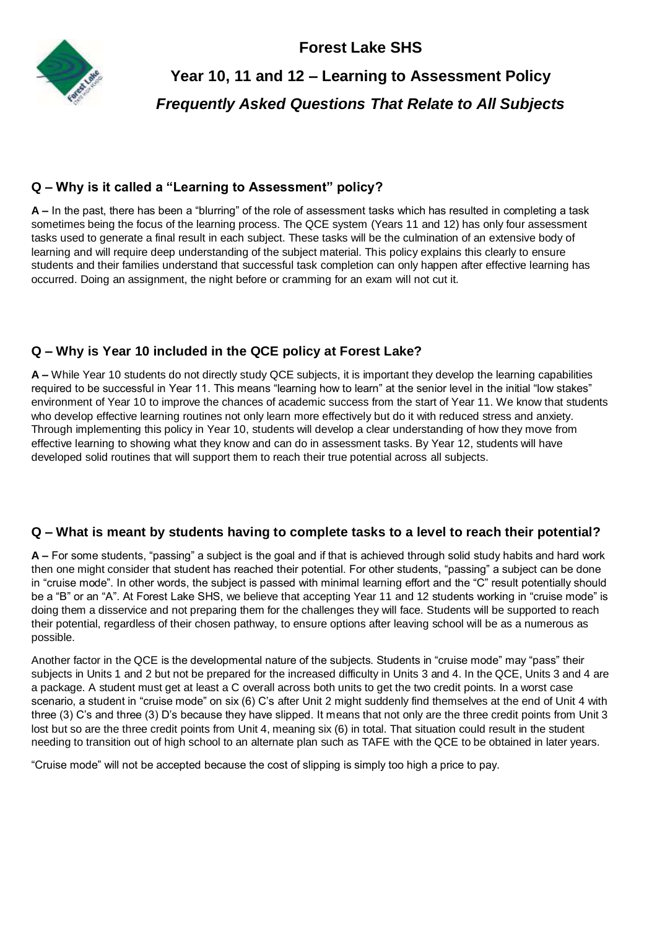**Forest Lake SHS**



# **Year 10, 11 and 12 – Learning to Assessment Policy** *Frequently Asked Questions That Relate to All Subjects*

# **Q – Why is it called a "Learning to Assessment" policy?**

**A –** In the past, there has been a "blurring" of the role of assessment tasks which has resulted in completing a task sometimes being the focus of the learning process. The QCE system (Years 11 and 12) has only four assessment tasks used to generate a final result in each subject. These tasks will be the culmination of an extensive body of learning and will require deep understanding of the subject material. This policy explains this clearly to ensure students and their families understand that successful task completion can only happen after effective learning has occurred. Doing an assignment, the night before or cramming for an exam will not cut it.

# **Q – Why is Year 10 included in the QCE policy at Forest Lake?**

**A –** While Year 10 students do not directly study QCE subjects, it is important they develop the learning capabilities required to be successful in Year 11. This means "learning how to learn" at the senior level in the initial "low stakes" environment of Year 10 to improve the chances of academic success from the start of Year 11. We know that students who develop effective learning routines not only learn more effectively but do it with reduced stress and anxiety. Through implementing this policy in Year 10, students will develop a clear understanding of how they move from effective learning to showing what they know and can do in assessment tasks. By Year 12, students will have developed solid routines that will support them to reach their true potential across all subjects.

# **Q – What is meant by students having to complete tasks to a level to reach their potential?**

**A –** For some students, "passing" a subject is the goal and if that is achieved through solid study habits and hard work then one might consider that student has reached their potential. For other students, "passing" a subject can be done in "cruise mode". In other words, the subject is passed with minimal learning effort and the "C" result potentially should be a "B" or an "A". At Forest Lake SHS, we believe that accepting Year 11 and 12 students working in "cruise mode" is doing them a disservice and not preparing them for the challenges they will face. Students will be supported to reach their potential, regardless of their chosen pathway, to ensure options after leaving school will be as a numerous as possible.

Another factor in the QCE is the developmental nature of the subjects. Students in "cruise mode" may "pass" their subjects in Units 1 and 2 but not be prepared for the increased difficulty in Units 3 and 4. In the QCE, Units 3 and 4 are a package. A student must get at least a C overall across both units to get the two credit points. In a worst case scenario, a student in "cruise mode" on six (6) C's after Unit 2 might suddenly find themselves at the end of Unit 4 with three (3) C's and three (3) D's because they have slipped. It means that not only are the three credit points from Unit 3 lost but so are the three credit points from Unit 4, meaning six (6) in total. That situation could result in the student needing to transition out of high school to an alternate plan such as TAFE with the QCE to be obtained in later years.

"Cruise mode" will not be accepted because the cost of slipping is simply too high a price to pay.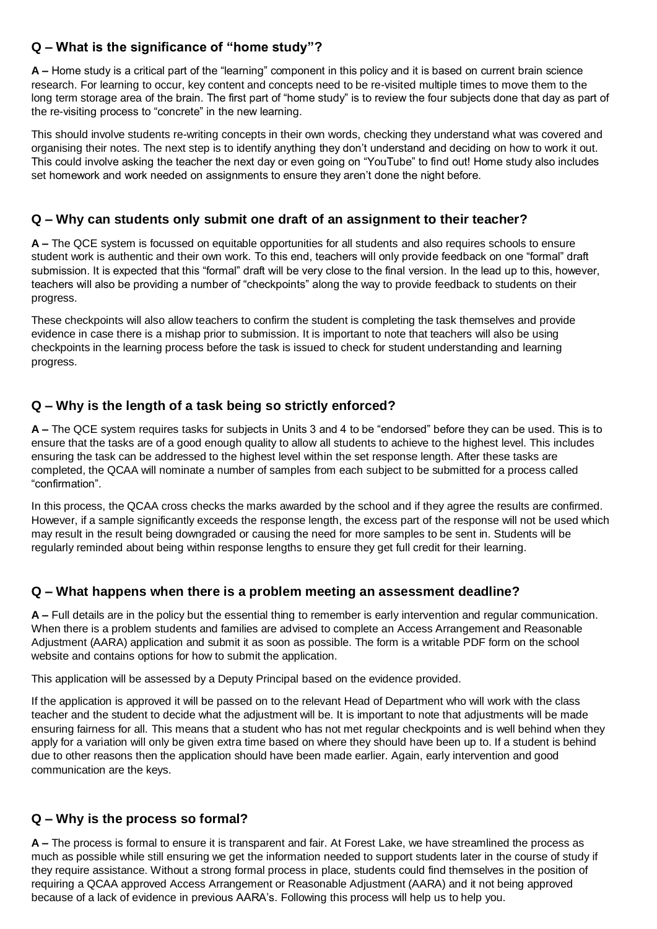# **Q – What is the significance of "home study"?**

**A –** Home study is a critical part of the "learning" component in this policy and it is based on current brain science research. For learning to occur, key content and concepts need to be re-visited multiple times to move them to the long term storage area of the brain. The first part of "home study" is to review the four subjects done that day as part of the re-visiting process to "concrete" in the new learning.

This should involve students re-writing concepts in their own words, checking they understand what was covered and organising their notes. The next step is to identify anything they don't understand and deciding on how to work it out. This could involve asking the teacher the next day or even going on "YouTube" to find out! Home study also includes set homework and work needed on assignments to ensure they aren't done the night before.

## **Q – Why can students only submit one draft of an assignment to their teacher?**

**A –** The QCE system is focussed on equitable opportunities for all students and also requires schools to ensure student work is authentic and their own work. To this end, teachers will only provide feedback on one "formal" draft submission. It is expected that this "formal" draft will be very close to the final version. In the lead up to this, however, teachers will also be providing a number of "checkpoints" along the way to provide feedback to students on their progress.

These checkpoints will also allow teachers to confirm the student is completing the task themselves and provide evidence in case there is a mishap prior to submission. It is important to note that teachers will also be using checkpoints in the learning process before the task is issued to check for student understanding and learning progress.

## **Q – Why is the length of a task being so strictly enforced?**

**A –** The QCE system requires tasks for subjects in Units 3 and 4 to be "endorsed" before they can be used. This is to ensure that the tasks are of a good enough quality to allow all students to achieve to the highest level. This includes ensuring the task can be addressed to the highest level within the set response length. After these tasks are completed, the QCAA will nominate a number of samples from each subject to be submitted for a process called "confirmation".

In this process, the QCAA cross checks the marks awarded by the school and if they agree the results are confirmed. However, if a sample significantly exceeds the response length, the excess part of the response will not be used which may result in the result being downgraded or causing the need for more samples to be sent in. Students will be regularly reminded about being within response lengths to ensure they get full credit for their learning.

#### **Q – What happens when there is a problem meeting an assessment deadline?**

**A –** Full details are in the policy but the essential thing to remember is early intervention and regular communication. When there is a problem students and families are advised to complete an Access Arrangement and Reasonable Adjustment (AARA) application and submit it as soon as possible. The form is a writable PDF form on the school website and contains options for how to submit the application.

This application will be assessed by a Deputy Principal based on the evidence provided.

If the application is approved it will be passed on to the relevant Head of Department who will work with the class teacher and the student to decide what the adjustment will be. It is important to note that adjustments will be made ensuring fairness for all. This means that a student who has not met regular checkpoints and is well behind when they apply for a variation will only be given extra time based on where they should have been up to. If a student is behind due to other reasons then the application should have been made earlier. Again, early intervention and good communication are the keys.

#### **Q – Why is the process so formal?**

**A –** The process is formal to ensure it is transparent and fair. At Forest Lake, we have streamlined the process as much as possible while still ensuring we get the information needed to support students later in the course of study if they require assistance. Without a strong formal process in place, students could find themselves in the position of requiring a QCAA approved Access Arrangement or Reasonable Adjustment (AARA) and it not being approved because of a lack of evidence in previous AARA's. Following this process will help us to help you.